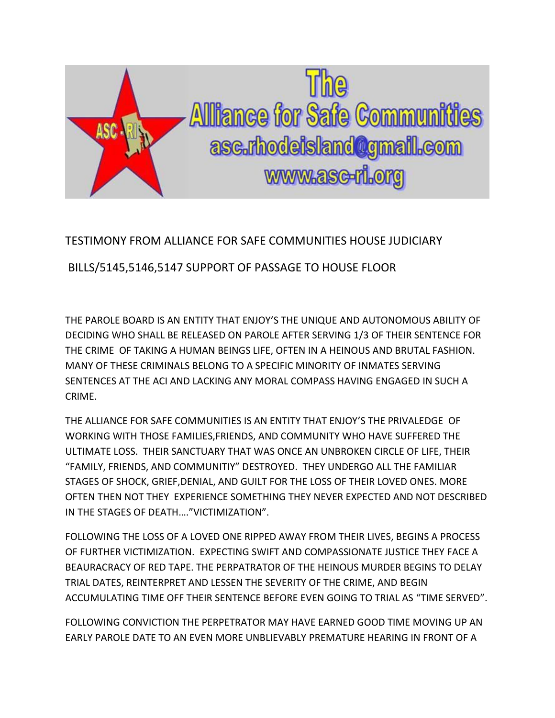

## TESTIMONY FROM ALLIANCE FOR SAFE COMMUNITIES HOUSE JUDICIARY

BILLS/5145,5146,5147 SUPPORT OF PASSAGE TO HOUSE FLOOR

THE PAROLE BOARD IS AN ENTITY THAT ENJOY'S THE UNIQUE AND AUTONOMOUS ABILITY OF DECIDING WHO SHALL BE RELEASED ON PAROLE AFTER SERVING 1/3 OF THEIR SENTENCE FOR THE CRIME OF TAKING A HUMAN BEINGS LIFE, OFTEN IN A HEINOUS AND BRUTAL FASHION. MANY OF THESE CRIMINALS BELONG TO A SPECIFIC MINORITY OF INMATES SERVING SENTENCES AT THE ACI AND LACKING ANY MORAL COMPASS HAVING ENGAGED IN SUCH A CRIME.

THE ALLIANCE FOR SAFE COMMUNITIES IS AN ENTITY THAT ENJOY'S THE PRIVALEDGE OF WORKING WITH THOSE FAMILIES,FRIENDS, AND COMMUNITY WHO HAVE SUFFERED THE ULTIMATE LOSS. THEIR SANCTUARY THAT WAS ONCE AN UNBROKEN CIRCLE OF LIFE, THEIR "FAMILY, FRIENDS, AND COMMUNITIY" DESTROYED. THEY UNDERGO ALL THE FAMILIAR STAGES OF SHOCK, GRIEF,DENIAL, AND GUILT FOR THE LOSS OF THEIR LOVED ONES. MORE OFTEN THEN NOT THEY EXPERIENCE SOMETHING THEY NEVER EXPECTED AND NOT DESCRIBED IN THE STAGES OF DEATH…."VICTIMIZATION".

FOLLOWING THE LOSS OF A LOVED ONE RIPPED AWAY FROM THEIR LIVES, BEGINS A PROCESS OF FURTHER VICTIMIZATION. EXPECTING SWIFT AND COMPASSIONATE JUSTICE THEY FACE A BEAURACRACY OF RED TAPE. THE PERPATRATOR OF THE HEINOUS MURDER BEGINS TO DELAY TRIAL DATES, REINTERPRET AND LESSEN THE SEVERITY OF THE CRIME, AND BEGIN ACCUMULATING TIME OFF THEIR SENTENCE BEFORE EVEN GOING TO TRIAL AS "TIME SERVED".

FOLLOWING CONVICTION THE PERPETRATOR MAY HAVE EARNED GOOD TIME MOVING UP AN EARLY PAROLE DATE TO AN EVEN MORE UNBLIEVABLY PREMATURE HEARING IN FRONT OF A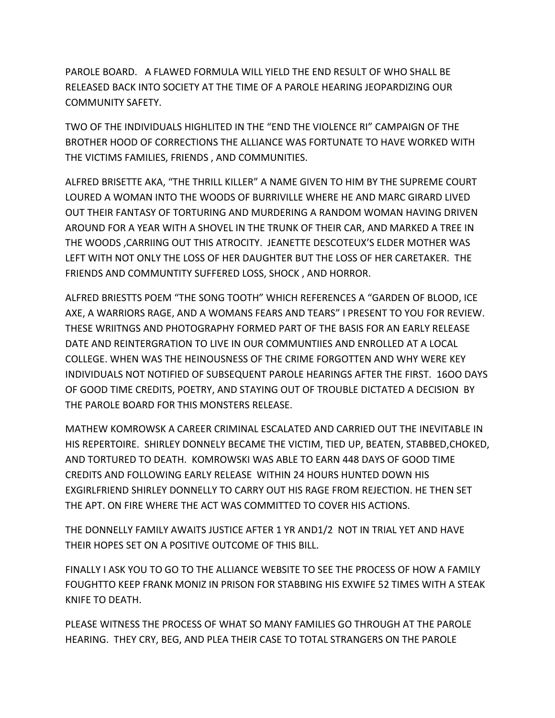PAROLE BOARD. A FLAWED FORMULA WILL YIELD THE END RESULT OF WHO SHALL BE RELEASED BACK INTO SOCIETY AT THE TIME OF A PAROLE HEARING JEOPARDIZING OUR COMMUNITY SAFETY.

TWO OF THE INDIVIDUALS HIGHLITED IN THE "END THE VIOLENCE RI" CAMPAIGN OF THE BROTHER HOOD OF CORRECTIONS THE ALLIANCE WAS FORTUNATE TO HAVE WORKED WITH THE VICTIMS FAMILIES, FRIENDS , AND COMMUNITIES.

ALFRED BRISETTE AKA, "THE THRILL KILLER" A NAME GIVEN TO HIM BY THE SUPREME COURT LOURED A WOMAN INTO THE WOODS OF BURRIVILLE WHERE HE AND MARC GIRARD LIVED OUT THEIR FANTASY OF TORTURING AND MURDERING A RANDOM WOMAN HAVING DRIVEN AROUND FOR A YEAR WITH A SHOVEL IN THE TRUNK OF THEIR CAR, AND MARKED A TREE IN THE WOODS ,CARRIING OUT THIS ATROCITY. JEANETTE DESCOTEUX'S ELDER MOTHER WAS LEFT WITH NOT ONLY THE LOSS OF HER DAUGHTER BUT THE LOSS OF HER CARETAKER. THE FRIENDS AND COMMUNTITY SUFFERED LOSS, SHOCK , AND HORROR.

ALFRED BRIESTTS POEM "THE SONG TOOTH" WHICH REFERENCES A "GARDEN OF BLOOD, ICE AXE, A WARRIORS RAGE, AND A WOMANS FEARS AND TEARS" I PRESENT TO YOU FOR REVIEW. THESE WRIITNGS AND PHOTOGRAPHY FORMED PART OF THE BASIS FOR AN EARLY RELEASE DATE AND REINTERGRATION TO LIVE IN OUR COMMUNTIIES AND ENROLLED AT A LOCAL COLLEGE. WHEN WAS THE HEINOUSNESS OF THE CRIME FORGOTTEN AND WHY WERE KEY INDIVIDUALS NOT NOTIFIED OF SUBSEQUENT PAROLE HEARINGS AFTER THE FIRST. 16OO DAYS OF GOOD TIME CREDITS, POETRY, AND STAYING OUT OF TROUBLE DICTATED A DECISION BY THE PAROLE BOARD FOR THIS MONSTERS RELEASE.

MATHEW KOMROWSK A CAREER CRIMINAL ESCALATED AND CARRIED OUT THE INEVITABLE IN HIS REPERTOIRE. SHIRLEY DONNELY BECAME THE VICTIM, TIED UP, BEATEN, STABBED,CHOKED, AND TORTURED TO DEATH. KOMROWSKI WAS ABLE TO EARN 448 DAYS OF GOOD TIME CREDITS AND FOLLOWING EARLY RELEASE WITHIN 24 HOURS HUNTED DOWN HIS EXGIRLFRIEND SHIRLEY DONNELLY TO CARRY OUT HIS RAGE FROM REJECTION. HE THEN SET THE APT. ON FIRE WHERE THE ACT WAS COMMITTED TO COVER HIS ACTIONS.

THE DONNELLY FAMILY AWAITS JUSTICE AFTER 1 YR AND1/2 NOT IN TRIAL YET AND HAVE THEIR HOPES SET ON A POSITIVE OUTCOME OF THIS BILL.

FINALLY I ASK YOU TO GO TO THE ALLIANCE WEBSITE TO SEE THE PROCESS OF HOW A FAMILY FOUGHTTO KEEP FRANK MONIZ IN PRISON FOR STABBING HIS EXWIFE 52 TIMES WITH A STEAK KNIFE TO DEATH.

PLEASE WITNESS THE PROCESS OF WHAT SO MANY FAMILIES GO THROUGH AT THE PAROLE HEARING. THEY CRY, BEG, AND PLEA THEIR CASE TO TOTAL STRANGERS ON THE PAROLE